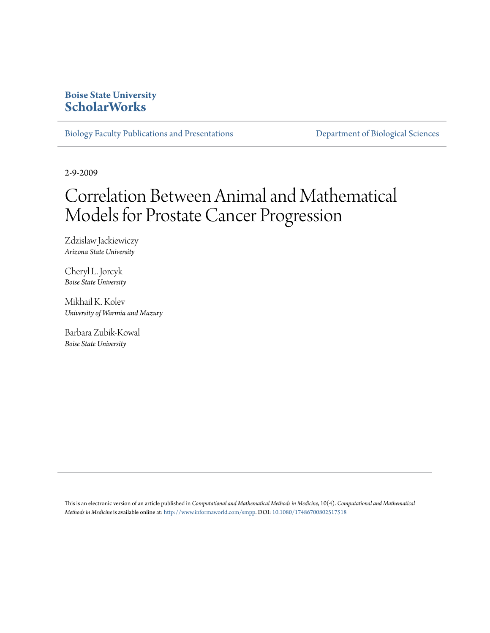## **Boise State University [ScholarWorks](https://scholarworks.boisestate.edu)**

[Biology Faculty Publications and Presentations](https://scholarworks.boisestate.edu/bio_facpubs) **[Department of Biological Sciences](https://scholarworks.boisestate.edu/biosciences)** 

2-9-2009

# Correlation Between Animal and Mathematical Models for Prostate Cancer Progression

Zdzislaw Jackiewiczy *Arizona State University*

Cheryl L. Jorcyk *Boise State University*

Mikhail K. Kolev *University of Warmia and Mazury*

Barbara Zubik-Kowal *Boise State University*

This is an electronic version of an article published in *Computational and Mathematical Methods in Medicine*, 10(4). *Computational and Mathematical Methods in Medicine* is available online at: <http://www.informaworld.com/smpp>. DOI: [10.1080/17486700802517518](http://dx.doi.org/10.1080/17486700802517518)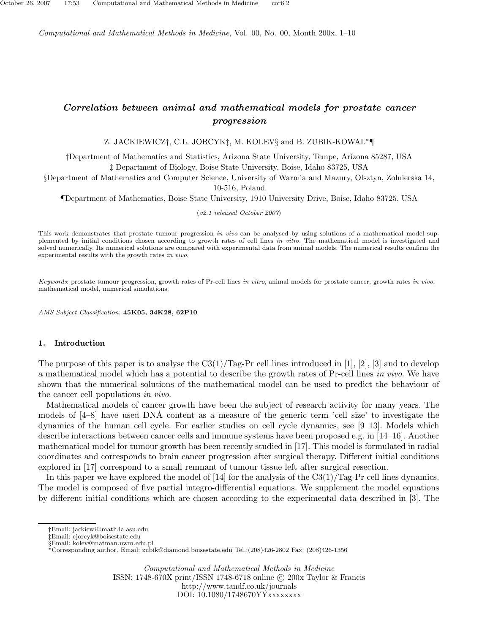Computational and Mathematical Methods in Medicine, Vol. 00, No. 00, Month 200x, 1–10

### Correlation between animal and mathematical models for prostate cancer progression

Z. JACKIEWICZ†, C.L. JORCYK‡, M. KOLEV§ and B. ZUBIK-KOWAL∗¶

†Department of Mathematics and Statistics, Arizona State University, Tempe, Arizona 85287, USA ‡ Department of Biology, Boise State University, Boise, Idaho 83725, USA

§Department of Mathematics and Computer Science, University of Warmia and Mazury, Olsztyn, Zolnierska 14, 10-516, Poland

¶Department of Mathematics, Boise State University, 1910 University Drive, Boise, Idaho 83725, USA

(v2.1 released October 2007)

This work demonstrates that prostate tumour progression in vivo can be analysed by using solutions of a mathematical model supplemented by initial conditions chosen according to growth rates of cell lines in vitro. The mathematical model is investigated and solved numerically. Its numerical solutions are compared with experimental data from animal models. The numerical results confirm the experimental results with the growth rates in vivo.

Keywords: prostate tumour progression, growth rates of Pr-cell lines in vitro, animal models for prostate cancer, growth rates in vivo, mathematical model, numerical simulations.

AMS Subject Classification: 45K05, 34K28, 62P10

#### 1. Introduction

The purpose of this paper is to analyse the  $\text{C3}(1)/\text{Tag-Pr}$  cell lines introduced in [1], [2], [3] and to develop a mathematical model which has a potential to describe the growth rates of Pr-cell lines in vivo. We have shown that the numerical solutions of the mathematical model can be used to predict the behaviour of the cancer cell populations in vivo.

Mathematical models of cancer growth have been the subject of research activity for many years. The models of [4–8] have used DNA content as a measure of the generic term 'cell size' to investigate the dynamics of the human cell cycle. For earlier studies on cell cycle dynamics, see [9–13]. Models which describe interactions between cancer cells and immune systems have been proposed e.g. in [14–16]. Another mathematical model for tumour growth has been recently studied in [17]. This model is formulated in radial coordinates and corresponds to brain cancer progression after surgical therapy. Different initial conditions explored in [17] correspond to a small remnant of tumour tissue left after surgical resection.

In this paper we have explored the model of [14] for the analysis of the  $\text{C3}(1)/\text{Tag-Pr}$  cell lines dynamics. The model is composed of five partial integro-differential equations. We supplement the model equations by different initial conditions which are chosen according to the experimental data described in [3]. The

Computational and Mathematical Methods in Medicine ISSN: 1748-670X print/ISSN 1748-6718 online © 200x Taylor & Francis

http://www.tandf.co.uk/journals

DOI: 10.1080/1748670YYxxxxxxxx

<sup>†</sup>Email: jackiewi@math.la.asu.edu

<sup>‡</sup>Email: cjorcyk@boisestate.edu

<sup>§</sup>Email: kolev@matman.uwm.edu.pl

<sup>∗</sup>Corresponding author. Email: zubik@diamond.boisestate.edu Tel.:(208)426-2802 Fax: (208)426-1356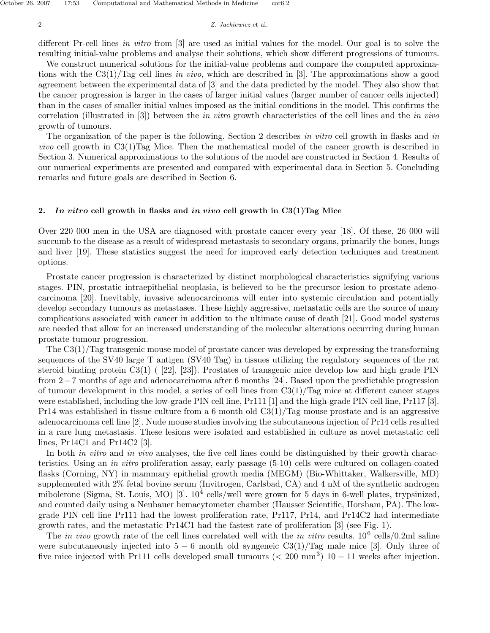different Pr-cell lines in vitro from [3] are used as initial values for the model. Our goal is to solve the resulting initial-value problems and analyse their solutions, which show different progressions of tumours.

We construct numerical solutions for the initial-value problems and compare the computed approximations with the  $C3(1)/Tag$  cell lines in vivo, which are described in [3]. The approximations show a good agreement between the experimental data of [3] and the data predicted by the model. They also show that the cancer progression is larger in the cases of larger initial values (larger number of cancer cells injected) than in the cases of smaller initial values imposed as the initial conditions in the model. This confirms the correlation (illustrated in [3]) between the in vitro growth characteristics of the cell lines and the in vivo growth of tumours.

The organization of the paper is the following. Section 2 describes in vitro cell growth in flasks and in vivo cell growth in C3(1)Tag Mice. Then the mathematical model of the cancer growth is described in Section 3. Numerical approximations to the solutions of the model are constructed in Section 4. Results of our numerical experiments are presented and compared with experimental data in Section 5. Concluding remarks and future goals are described in Section 6.

#### 2. In vitro cell growth in flasks and in vivo cell growth in  $C3(1)$ Tag Mice

Over 220 000 men in the USA are diagnosed with prostate cancer every year [18]. Of these, 26 000 will succumb to the disease as a result of widespread metastasis to secondary organs, primarily the bones, lungs and liver [19]. These statistics suggest the need for improved early detection techniques and treatment options.

Prostate cancer progression is characterized by distinct morphological characteristics signifying various stages. PIN, prostatic intraepithelial neoplasia, is believed to be the precursor lesion to prostate adenocarcinoma [20]. Inevitably, invasive adenocarcinoma will enter into systemic circulation and potentially develop secondary tumours as metastases. These highly aggressive, metastatic cells are the source of many complications associated with cancer in addition to the ultimate cause of death [21]. Good model systems are needed that allow for an increased understanding of the molecular alterations occurring during human prostate tumour progression.

The C3(1)/Tag transgenic mouse model of prostate cancer was developed by expressing the transforming sequences of the SV40 large T antigen (SV40 Tag) in tissues utilizing the regulatory sequences of the rat steroid binding protein C3(1) ( [22], [23]). Prostates of transgenic mice develop low and high grade PIN from 2−7 months of age and adenocarcinoma after 6 months [24]. Based upon the predictable progression of tumour development in this model, a series of cell lines from  $C_3(1)/T_{\text{eq}}$  mice at different cancer stages were established, including the low-grade PIN cell line, Pr111 [1] and the high-grade PIN cell line, Pr117 [3]. Pr14 was established in tissue culture from a 6 month old  $\text{C3}(1)/\text{Tag}$  mouse prostate and is an aggressive adenocarcinoma cell line [2]. Nude mouse studies involving the subcutaneous injection of Pr14 cells resulted in a rare lung metastasis. These lesions were isolated and established in culture as novel metastatic cell lines, Pr14C1 and Pr14C2 [3].

In both *in vitro* and *in vivo* analyses, the five cell lines could be distinguished by their growth characteristics. Using an in vitro proliferation assay, early passage (5-10) cells were cultured on collagen-coated flasks (Corning, NY) in mammary epithelial growth media (MEGM) (Bio-Whittaker, Walkersville, MD) supplemented with 2% fetal bovine serum (Invitrogen, Carlsbad, CA) and 4 nM of the synthetic androgen mibolerone (Sigma, St. Louis, MO) [3].  $10^4$  cells/well were grown for 5 days in 6-well plates, trypsinized, and counted daily using a Neubauer hemacytometer chamber (Hausser Scientific, Horsham, PA). The lowgrade PIN cell line Pr111 had the lowest proliferation rate, Pr117, Pr14, and Pr14C2 had intermediate growth rates, and the metastatic Pr14C1 had the fastest rate of proliferation [3] (see Fig. 1).

The *in vivo* growth rate of the cell lines correlated well with the *in vitro* results.  $10^6$  cells/0.2ml saline were subcutaneously injected into  $5 - 6$  month old syngeneic C3(1)/Tag male mice [3]. Only three of five mice injected with Pr111 cells developed small tumours  $( $200 \text{ mm}^3$ )$  10 – 11 weeks after injection.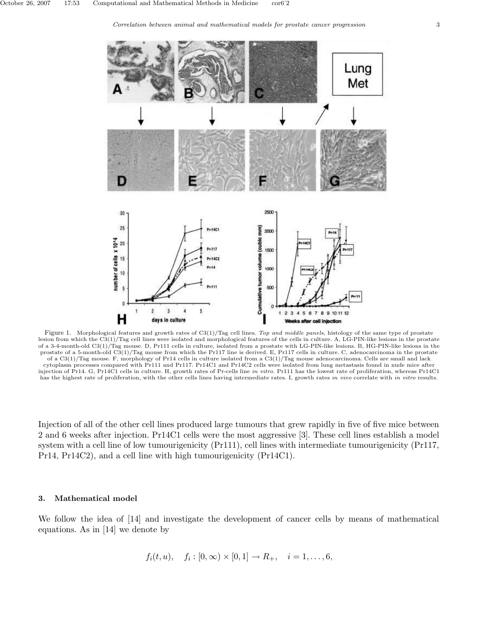



Figure 1. Morphological features and growth rates of C3(1)/Tag cell lines. Top and middle panels, histology of the same type of prostate lesion from which the C3(1)/Tag cell lines were isolated and morphological features of the cells in culture. A, LG-PIN-like lesions in the prostate of a 3-4-month-old C3(1)/Tag mouse. D, Pr111 cells in culture, isolated from a prostate with LG-PIN-like lesions. B, HG-PIN-like lesions in the prostate of a 5-month-old C3(1)/Tag mouse from which the Pr117 line is derived. E, Pr117 cells in culture. C, adenocarcinoma in the prostate of a C3(1)/Tag mouse. F, morphology of Pr14 cells in culture isolated from a C3(1)/Tag mouse adenocarcinoma. Cells are small and lack cytoplasm processes compared with Pr111 and Pr117. Pr14C1 and Pr14C2 cells were isolated from lung metastasis found in nude mice after injection of Pr14. G, Pr14C1 cells in culture. H, growth rates of Pr-cells line in vitro. Pr111 has the lowest rate of proliferation, whereas Pr14C1 has the highest rate of proliferation, with the other cells lines having intermediate rates. I, growth rates in vivo correlate with in vitro results.

Injection of all of the other cell lines produced large tumours that grew rapidly in five of five mice between 2 and 6 weeks after injection. Pr14C1 cells were the most aggressive [3]. These cell lines establish a model system with a cell line of low tumourigenicity (Pr111), cell lines with intermediate tumourigenicity (Pr117, Pr14, Pr14C2), and a cell line with high tumourigenicity (Pr14C1).

#### 3. Mathematical model

We follow the idea of [14] and investigate the development of cancer cells by means of mathematical equations. As in [14] we denote by

$$
f_i(t, u),
$$
  $f_i : [0, \infty) \times [0, 1] \to R_+, i = 1, ..., 6,$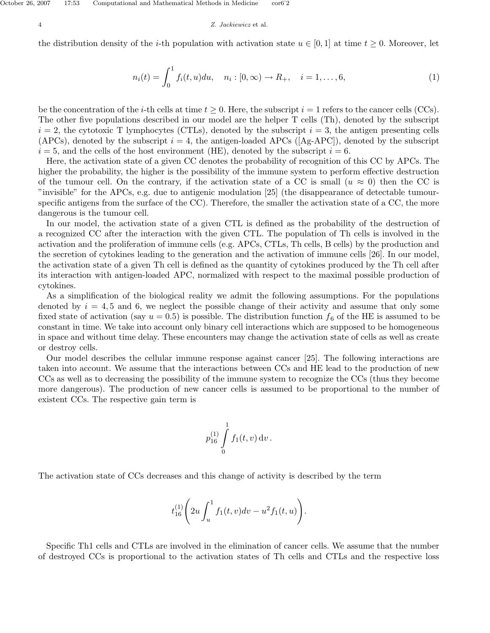the distribution density of the *i*-th population with activation state  $u \in [0,1]$  at time  $t \geq 0$ . Moreover, let

$$
n_i(t) = \int_0^1 f_i(t, u) du, \quad n_i : [0, \infty) \to R_+, \quad i = 1, \dots, 6,
$$
 (1)

be the concentration of the *i*-th cells at time  $t \geq 0$ . Here, the subscript  $i = 1$  refers to the cancer cells (CCs). The other five populations described in our model are the helper T cells (Th), denoted by the subscript  $i = 2$ , the cytotoxic T lymphocytes (CTLs), denoted by the subscript  $i = 3$ , the antigen presenting cells (APCs), denoted by the subscript  $i = 4$ , the antigen-loaded APCs ([Ag-APC]), denoted by the subscript  $i = 5$ , and the cells of the host environment (HE), denoted by the subscript  $i = 6$ .

Here, the activation state of a given CC denotes the probability of recognition of this CC by APCs. The higher the probability, the higher is the possibility of the immune system to perform effective destruction of the tumour cell. On the contrary, if the activation state of a CC is small  $(u \approx 0)$  then the CC is "invisible" for the APCs, e.g. due to antigenic modulation [25] (the disappearance of detectable tumourspecific antigens from the surface of the CC). Therefore, the smaller the activation state of a CC, the more dangerous is the tumour cell.

In our model, the activation state of a given CTL is defined as the probability of the destruction of a recognized CC after the interaction with the given CTL. The population of Th cells is involved in the activation and the proliferation of immune cells (e.g. APCs, CTLs, Th cells, B cells) by the production and the secretion of cytokines leading to the generation and the activation of immune cells [26]. In our model, the activation state of a given Th cell is defined as the quantity of cytokines produced by the Th cell after its interaction with antigen-loaded APC, normalized with respect to the maximal possible production of cytokines.

As a simplification of the biological reality we admit the following assumptions. For the populations denoted by  $i = 4, 5$  and 6, we neglect the possible change of their activity and assume that only some fixed state of activation (say  $u = 0.5$ ) is possible. The distribution function  $f_6$  of the HE is assumed to be constant in time. We take into account only binary cell interactions which are supposed to be homogeneous in space and without time delay. These encounters may change the activation state of cells as well as create or destroy cells.

Our model describes the cellular immune response against cancer [25]. The following interactions are taken into account. We assume that the interactions between CCs and HE lead to the production of new CCs as well as to decreasing the possibility of the immune system to recognize the CCs (thus they become more dangerous). The production of new cancer cells is assumed to be proportional to the number of existent CCs. The respective gain term is

$$
p_{16}^{(1)}\int\limits_{0}^{1}f_1(t,v)\,\mathrm{d}v\,.
$$

The activation state of CCs decreases and this change of activity is described by the term

$$
t_{16}^{(1)}\left(2u\int_u^1 f_1(t,v)dv - u^2f_1(t,u)\right).
$$

Specific Th1 cells and CTLs are involved in the elimination of cancer cells. We assume that the number of destroyed CCs is proportional to the activation states of Th cells and CTLs and the respective loss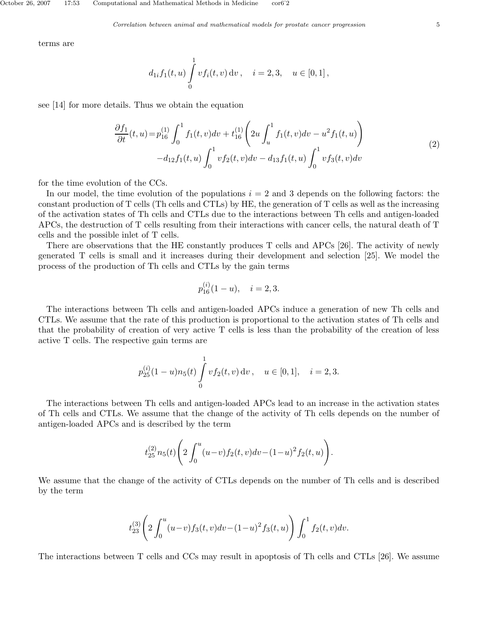terms are

$$
d_{1i}f_1(t, u) \int_0^1 v f_i(t, v) dv, \quad i = 2, 3, \quad u \in [0, 1],
$$

see [14] for more details. Thus we obtain the equation

$$
\frac{\partial f_1}{\partial t}(t, u) = p_{16}^{(1)} \int_0^1 f_1(t, v) dv + t_{16}^{(1)} \left( 2u \int_u^1 f_1(t, v) dv - u^2 f_1(t, u) \right) \n- d_{12} f_1(t, u) \int_0^1 v f_2(t, v) dv - d_{13} f_1(t, u) \int_0^1 v f_3(t, v) dv
$$
\n(2)

for the time evolution of the CCs.

In our model, the time evolution of the populations  $i = 2$  and 3 depends on the following factors: the constant production of T cells (Th cells and CTLs) by HE, the generation of T cells as well as the increasing of the activation states of Th cells and CTLs due to the interactions between Th cells and antigen-loaded APCs, the destruction of T cells resulting from their interactions with cancer cells, the natural death of T cells and the possible inlet of T cells.

There are observations that the HE constantly produces T cells and APCs [26]. The activity of newly generated T cells is small and it increases during their development and selection [25]. We model the process of the production of Th cells and CTLs by the gain terms

$$
p_{16}^{(i)}(1-u), \quad i=2,3.
$$

The interactions between Th cells and antigen-loaded APCs induce a generation of new Th cells and CTLs. We assume that the rate of this production is proportional to the activation states of Th cells and that the probability of creation of very active T cells is less than the probability of the creation of less active T cells. The respective gain terms are

$$
p_{25}^{(i)}(1-u)n_5(t)\int_0^1 v f_2(t,v) dv
$$
,  $u \in [0,1], i = 2,3.$ 

The interactions between Th cells and antigen-loaded APCs lead to an increase in the activation states of Th cells and CTLs. We assume that the change of the activity of Th cells depends on the number of antigen-loaded APCs and is described by the term

$$
t_{25}^{(2)}n_5(t)\left(2\int_0^u (u-v)f_2(t,v)dv-(1-u)^2f_2(t,u)\right).
$$

We assume that the change of the activity of CTLs depends on the number of Th cells and is described by the term

$$
t_{23}^{(3)}\!\left(2\int_0^u (u-v)f_3(t,v)dv - (1-u)^2f_3(t,u)\right)\int_0^1 f_2(t,v)dv.
$$

The interactions between T cells and CCs may result in apoptosis of Th cells and CTLs [26]. We assume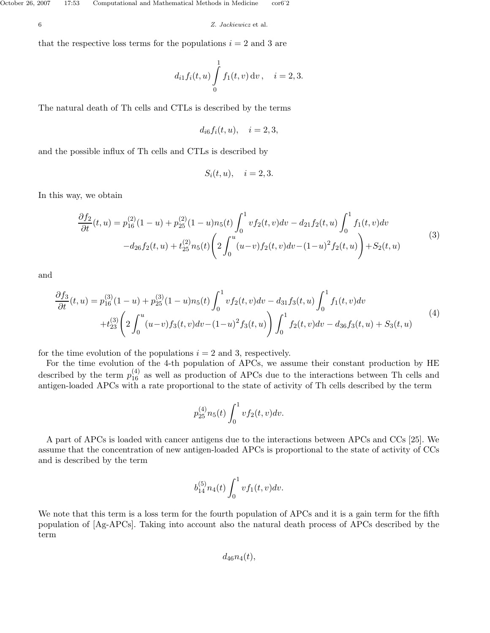that the respective loss terms for the populations  $i = 2$  and 3 are

$$
d_{i1}f_i(t, u) \int_{0}^{1} f_1(t, v) dv, \quad i = 2, 3.
$$

The natural death of Th cells and CTLs is described by the terms

$$
d_{i6}f_i(t, u), \quad i = 2, 3,
$$

and the possible influx of Th cells and CTLs is described by

$$
S_i(t, u), \quad i = 2, 3.
$$

In this way, we obtain

$$
\frac{\partial f_2}{\partial t}(t, u) = p_{16}^{(2)}(1 - u) + p_{25}^{(2)}(1 - u)n_5(t) \int_0^1 v f_2(t, v) dv - d_{21} f_2(t, u) \int_0^1 f_1(t, v) dv \n- d_{26} f_2(t, u) + t_{25}^{(2)} n_5(t) \left( 2 \int_0^u (u - v) f_2(t, v) dv - (1 - u)^2 f_2(t, u) \right) + S_2(t, u)
$$
\n(3)

and

$$
\frac{\partial f_3}{\partial t}(t, u) = p_{16}^{(3)}(1 - u) + p_{25}^{(3)}(1 - u)n_5(t) \int_0^1 v f_2(t, v) dv - d_{31} f_3(t, u) \int_0^1 f_1(t, v) dv \n+ t_{23}^{(3)} \left( 2 \int_0^u (u - v) f_3(t, v) dv - (1 - u)^2 f_3(t, u) \right) \int_0^1 f_2(t, v) dv - d_{36} f_3(t, u) + S_3(t, u)
$$
\n(4)

for the time evolution of the populations  $i = 2$  and 3, respectively.

For the time evolution of the 4-th population of APCs, we assume their constant production by HE described by the term  $p_{16}^{(4)}$  as well as production of APCs due to the interactions between Th cells and antigen-loaded APCs with a rate proportional to the state of activity of Th cells described by the term

$$
p_{25}^{(4)}n_5(t)\int_0^1 v f_2(t,v)dv.
$$

A part of APCs is loaded with cancer antigens due to the interactions between APCs and CCs [25]. We assume that the concentration of new antigen-loaded APCs is proportional to the state of activity of CCs and is described by the term

$$
b_{14}^{(5)}n_4(t)\int_0^1 v f_1(t,v)dv.
$$

We note that this term is a loss term for the fourth population of APCs and it is a gain term for the fifth population of [Ag-APCs]. Taking into account also the natural death process of APCs described by the term

 $d_{46}n_4(t)$ ,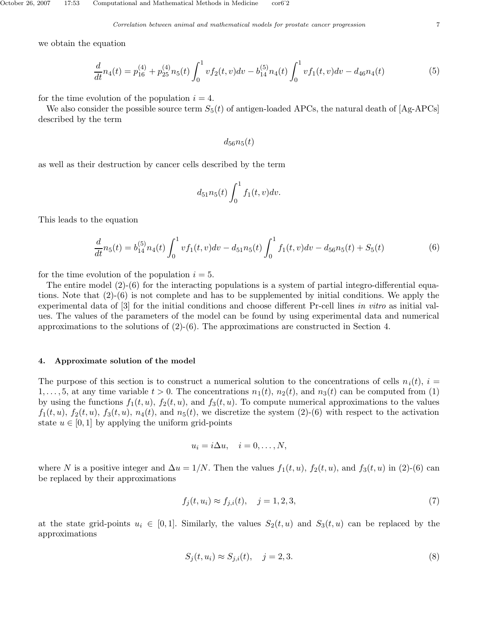we obtain the equation

$$
\frac{d}{dt}n_4(t) = p_{16}^{(4)} + p_{25}^{(4)}n_5(t) \int_0^1 v f_2(t,v) dv - b_{14}^{(5)}n_4(t) \int_0^1 v f_1(t,v) dv - d_{46}n_4(t)
$$
\n(5)

for the time evolution of the population  $i = 4$ .

We also consider the possible source term  $S_5(t)$  of antigen-loaded APCs, the natural death of [Ag-APCs] described by the term

 $d_{56}n_5(t)$ 

as well as their destruction by cancer cells described by the term

$$
d_{51}n_5(t)\int_0^1 f_1(t,v)dv.
$$

This leads to the equation

$$
\frac{d}{dt}n_5(t) = b_{14}^{(5)}n_4(t)\int_0^1 v f_1(t,v)dv - d_{51}n_5(t)\int_0^1 f_1(t,v)dv - d_{56}n_5(t) + S_5(t)
$$
\n(6)

for the time evolution of the population  $i = 5$ .

The entire model (2)-(6) for the interacting populations is a system of partial integro-differential equations. Note that (2)-(6) is not complete and has to be supplemented by initial conditions. We apply the experimental data of [3] for the initial conditions and choose different Pr-cell lines in vitro as initial values. The values of the parameters of the model can be found by using experimental data and numerical approximations to the solutions of  $(2)-(6)$ . The approximations are constructed in Section 4.

#### 4. Approximate solution of the model

The purpose of this section is to construct a numerical solution to the concentrations of cells  $n_i(t)$ ,  $i =$ 1,..., 5, at any time variable  $t > 0$ . The concentrations  $n_1(t)$ ,  $n_2(t)$ , and  $n_3(t)$  can be computed from (1) by using the functions  $f_1(t, u)$ ,  $f_2(t, u)$ , and  $f_3(t, u)$ . To compute numerical approximations to the values  $f_1(t, u)$ ,  $f_2(t, u)$ ,  $f_3(t, u)$ ,  $n_4(t)$ , and  $n_5(t)$ , we discretize the system (2)-(6) with respect to the activation state  $u \in [0, 1]$  by applying the uniform grid-points

$$
u_i = i\Delta u, \quad i = 0, \dots, N,
$$

where N is a positive integer and  $\Delta u = 1/N$ . Then the values  $f_1(t, u)$ ,  $f_2(t, u)$ , and  $f_3(t, u)$  in (2)-(6) can be replaced by their approximations

$$
f_j(t, u_i) \approx f_{j,i}(t), \quad j = 1, 2, 3,
$$
\n(7)

at the state grid-points  $u_i \in [0,1]$ . Similarly, the values  $S_2(t, u)$  and  $S_3(t, u)$  can be replaced by the approximations

$$
S_j(t, u_i) \approx S_{j,i}(t), \quad j = 2, 3. \tag{8}
$$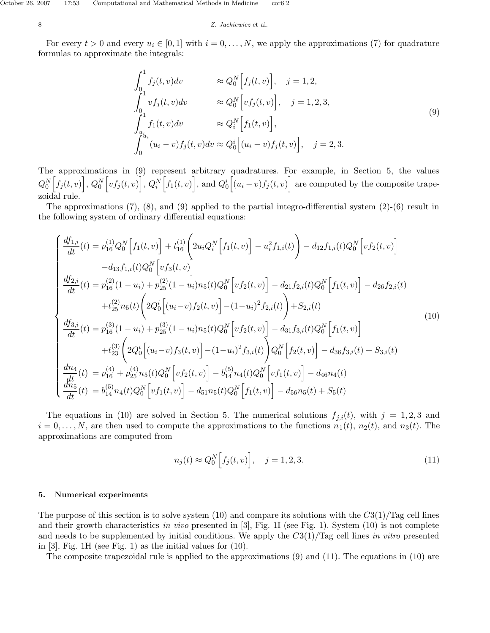For every  $t > 0$  and every  $u_i \in [0, 1]$  with  $i = 0, \ldots, N$ , we apply the approximations (7) for quadrature formulas to approximate the integrals:

$$
\int_{0}^{1} f_{j}(t, v) dv \approx Q_{0}^{N} [f_{j}(t, v)], \quad j = 1, 2,
$$
\n
$$
\int_{0}^{1} vf_{j}(t, v) dv \approx Q_{0}^{N} [vf_{j}(t, v)], \quad j = 1, 2, 3,
$$
\n
$$
\int_{u_{i}}^{1} f_{1}(t, v) dv \approx Q_{i}^{N} [f_{1}(t, v)],
$$
\n
$$
\int_{0}^{u_{i}} (u_{i} - v) f_{j}(t, v) dv \approx Q_{0}^{i} [(u_{i} - v) f_{j}(t, v)], \quad j = 2, 3.
$$
\n(9)

The approximations in (9) represent arbitrary quadratures. For example, in Section 5, the values  $Q_0^N\Big[f_j(t,v)\Big],\,Q_0^N\Big[vf_j(t,v)\Big],\,Q_i^N\Big[f_1(t,v)\Big],$  and  $Q_0^i\Big[(u_i-v)f_j(t,v)\Big]$  are computed by the composite trapezoidal rule.

The approximations  $(7)$ ,  $(8)$ , and  $(9)$  applied to the partial integro-differential system  $(2)-(6)$  result in the following system of ordinary differential equations:

$$
\begin{cases}\n\frac{df_{1,i}}{dt}(t) = p_{16}^{(1)}Q_{0}^{N}\left[f_{1}(t,v)\right] + t_{16}^{(1)}\left(2u_{i}Q_{i}^{N}\left[f_{1}(t,v)\right] - u_{i}^{2}f_{1,i}(t)\right) - d_{12}f_{1,i}(t)Q_{0}^{N}\left[vf_{2}(t,v)\right] \\
- d_{13}f_{1,i}(t)Q_{0}^{N}\left[vf_{3}(t,v)\right] \\
\frac{df_{2,i}}{dt}(t) = p_{16}^{(2)}(1-u_{i}) + p_{25}^{(2)}(1-u_{i})n_{5}(t)Q_{0}^{N}\left[vf_{2}(t,v)\right] - d_{21}f_{2,i}(t)Q_{0}^{N}\left[f_{1}(t,v)\right] - d_{26}f_{2,i}(t) \\
+ t_{25}^{(2)}n_{5}(t)\left(2Q_{0}^{i}\left[(u_{i}-v)f_{2}(t,v)\right] - (1-u_{i})^{2}f_{2,i}(t)\right) + S_{2,i}(t) \\
\frac{df_{3,i}}{dt}(t) = p_{16}^{(3)}(1-u_{i}) + p_{25}^{(3)}(1-u_{i})n_{5}(t)Q_{0}^{N}\left[vf_{2}(t,v)\right] - d_{31}f_{3,i}(t)Q_{0}^{N}\left[f_{1}(t,v)\right] \\
+ t_{23}^{(3)}\left(2Q_{0}^{i}\left[(u_{i}-v)f_{3}(t,v)\right] - (1-u_{i})^{2}f_{3,i}(t)\right)Q_{0}^{N}\left[f_{2}(t,v)\right] - d_{36}f_{3,i}(t) + S_{3,i}(t) \\
\frac{dn_{4}}{dt}(t) = p_{16}^{(4)} + p_{25}^{(4)}n_{5}(t)Q_{0}^{N}\left[vf_{2}(t,v)\right] - b_{14}^{(5)}n_{4}(t)Q_{0}^{N}\left[vf_{1}(t,v)\right] - d_{46}n_{4}(t) \\
\frac{dn_{5}}{dt}(t) = b_{14}^{(5)}n_{4}(t)Q_{0}^{N}\left[vf_{1}(t,v)\right] - d_{51}n_{5}(t)Q_{0}^{N}\left[f_{1}(t,v)\right] - d_{56}n_{5}(t) + S_{5}(t)\n\end{cases}
$$
\n
$$
(10)
$$

The equations in (10) are solved in Section 5. The numerical solutions  $f_{j,i}(t)$ , with  $j = 1, 2, 3$  and  $i = 0, \ldots, N$ , are then used to compute the approximations to the functions  $n_1(t)$ ,  $n_2(t)$ , and  $n_3(t)$ . The approximations are computed from

$$
n_j(t) \approx Q_0^N \Big[ f_j(t, v) \Big], \quad j = 1, 2, 3. \tag{11}
$$

#### 5. Numerical experiments

The purpose of this section is to solve system (10) and compare its solutions with the  $C_3(1)/T_{\text{ag}}$  cell lines and their growth characteristics in vivo presented in  $[3]$ , Fig. 1I (see Fig. 1). System (10) is not complete and needs to be supplemented by initial conditions. We apply the  $C_3(1)/T_{\text{agg}}$  cell lines in vitro presented in [3], Fig. 1H (see Fig. 1) as the initial values for (10).

The composite trapezoidal rule is applied to the approximations (9) and (11). The equations in (10) are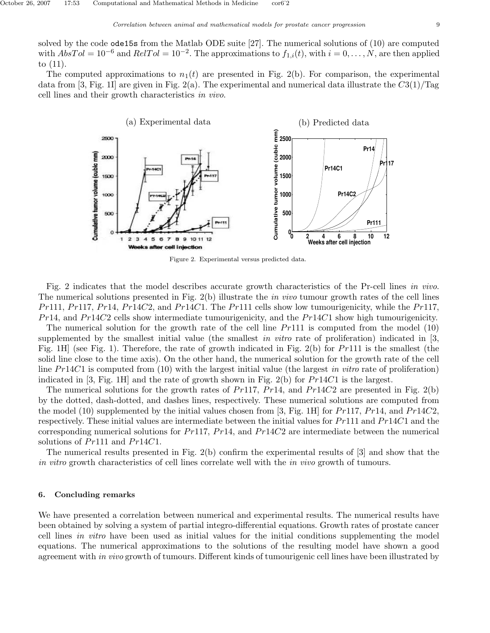solved by the code ode15s from the Matlab ODE suite [27]. The numerical solutions of (10) are computed with  $AbsTol = 10^{-6}$  and  $RelTol = 10^{-2}$ . The approximations to  $f_{1,i}(t)$ , with  $i = 0, \ldots, N$ , are then applied to (11).

The computed approximations to  $n_1(t)$  are presented in Fig. 2(b). For comparison, the experimental data from [3, Fig. 1I] are given in Fig. 2(a). The experimental and numerical data illustrate the  $C3(1)/T$ ag cell lines and their growth characteristics in vivo.



Figure 2. Experimental versus predicted data.

Fig. 2 indicates that the model describes accurate growth characteristics of the Pr-cell lines in vivo. The numerical solutions presented in Fig. 2(b) illustrate the *in vivo* tumour growth rates of the cell lines  $Pr111, Pr117, Pr14, Pr14C2,$  and  $Pr14C1$ . The Pr111 cells show low tumourigenicity, while the Pr117,  $Pr14$ , and  $Pr14C2$  cells show intermediate tumourigenicity, and the  $Pr14C1$  show high tumourigenicity.

The numerical solution for the growth rate of the cell line  $Pr111$  is computed from the model (10) supplemented by the smallest initial value (the smallest in vitro rate of proliferation) indicated in  $[3,$ Fig. 1H] (see Fig. 1). Therefore, the rate of growth indicated in Fig. 2(b) for Pr111 is the smallest (the solid line close to the time axis). On the other hand, the numerical solution for the growth rate of the cell line  $Pr14C1$  is computed from (10) with the largest initial value (the largest in vitro rate of proliferation) indicated in [3, Fig. 1H] and the rate of growth shown in Fig. 2(b) for  $Pr14C1$  is the largest.

The numerical solutions for the growth rates of Pr117, Pr14, and Pr14C2 are presented in Fig. 2(b) by the dotted, dash-dotted, and dashes lines, respectively. These numerical solutions are computed from the model (10) supplemented by the initial values chosen from [3, Fig. 1H] for  $Pr117$ ,  $Pr14$ , and  $Pr14C2$ , respectively. These initial values are intermediate between the initial values for Pr111 and Pr14C1 and the corresponding numerical solutions for  $Pr117$ ,  $Pr14$ , and  $Pr14C2$  are intermediate between the numerical solutions of Pr111 and Pr14C1.

The numerical results presented in Fig. 2(b) confirm the experimental results of [3] and show that the in vitro growth characteristics of cell lines correlate well with the in vivo growth of tumours.

#### 6. Concluding remarks

We have presented a correlation between numerical and experimental results. The numerical results have been obtained by solving a system of partial integro-differential equations. Growth rates of prostate cancer cell lines in vitro have been used as initial values for the initial conditions supplementing the model equations. The numerical approximations to the solutions of the resulting model have shown a good agreement with in vivo growth of tumours. Different kinds of tumourigenic cell lines have been illustrated by